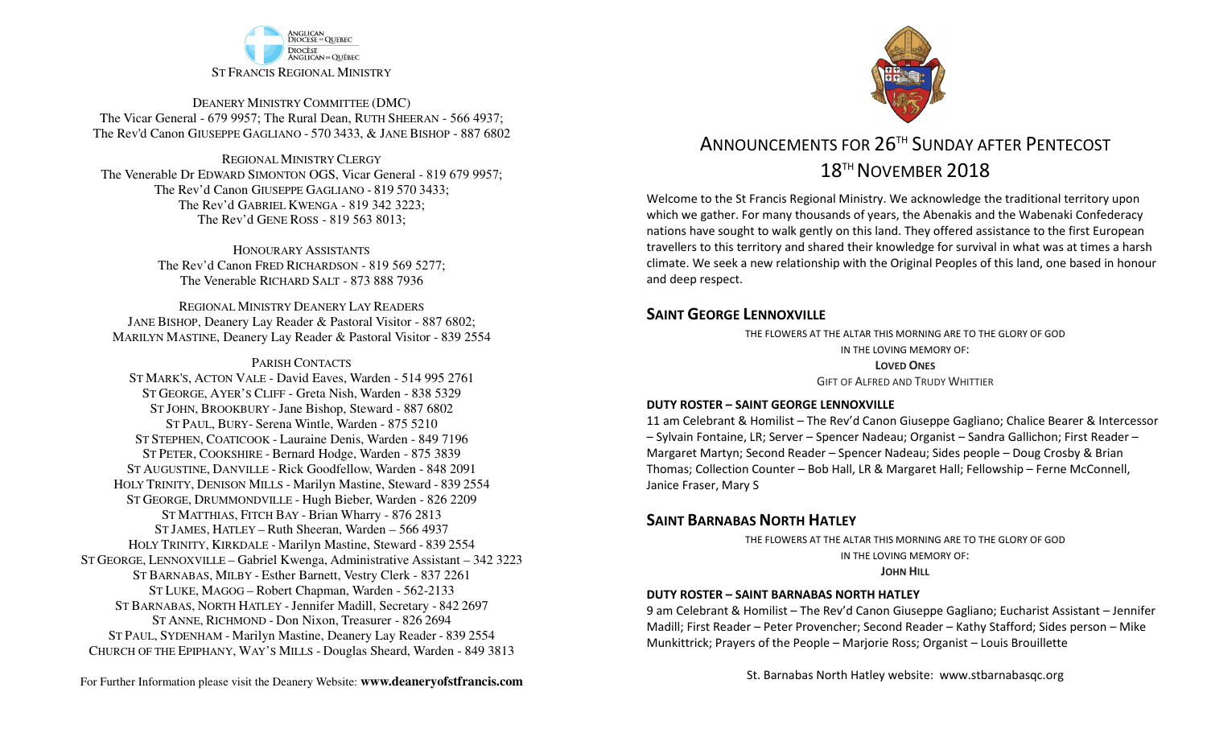

DEANERY MINISTRY COMMITTEE (DMC) The Vicar General - 679 9957; The Rural Dean, RUTH SHEERAN - 566 4937; The Rev'd Canon GIUSEPPE GAGLIANO - <sup>570</sup> 3433, & JANE BISHOP - 887 6802

REGIONAL MINISTRY CLERGY The Venerable Dr EDWARD SIMONTON OGS, Vicar General - 819 679 9957;The Rev'd Canon GIUSEPPE GAGLIANO - <sup>819</sup> <sup>570</sup> 3433; The Rev'd GABRIEL KWENGA - 819 342 3223;The Rev'd GENE ROSS - 819 563 8013;

> HONOURARY ASSISTANTS The Rev'd Canon FRED RICHARDSON - 819 569 5277;The Venerable RICHARD SALT - 873 888 7936

REGIONAL MINISTRY DEANERY LAY READERS JANE BISHOP, Deanery Lay Reader & Pastoral Visitor - 887 6802;MARILYN MASTINE, Deanery Lay Reader & Pastoral Visitor - 839 2554

#### PARISH CONTACTS

 ST MARK'S, ACTON VALE - David Eaves, Warden - 514 995 2761 ST GEORGE, AYER'S CLIFF - Greta Nish, Warden - 838 5329 ST JOHN, BROOKBURY -Jane Bishop, Steward - 887 6802 ST PAUL, BURY- Serena Wintle, Warden - 875 5210 ST STEPHEN, COATICOOK - Lauraine Denis, Warden - 849 7196 ST PETER, COOKSHIRE - Bernard Hodge, Warden - 875 3839 ST AUGUSTINE, DANVILLE - Rick Goodfellow, Warden - 848 2091 HOLY TRINITY, DENISON MILLS - Marilyn Mastine, Steward - <sup>839</sup> <sup>2554</sup> ST GEORGE, DRUMMONDVILLE - Hugh Bieber, Warden - 826 2209 ST MATTHIAS, FITCH BAY - Brian Wharry - 876 2813 ST JAMES, HATLEY – Ruth Sheeran, Warden – 566 4937 HOLY TRINITY, KIRKDALE - Marilyn Mastine, Steward - <sup>839</sup> <sup>2554</sup> ST GEORGE, LENNOXVILLE – Gabriel Kwenga, Administrative Assistant – 342 3223 ST BARNABAS, MILBY - Esther Barnett, Vestry Clerk - 837 2261 ST LUKE, MAGOG – Robert Chapman, Warden - 562-2133 ST BARNABAS, NORTH HATLEY -Jennifer Madill, Secretary - <sup>842</sup> <sup>2697</sup> ST ANNE, RICHMOND - Don Nixon, Treasurer - 826 <sup>2694</sup> ST PAUL, SYDENHAM - Marilyn Mastine, Deanery Lay Reader - <sup>839</sup> <sup>2554</sup> CHURCH OF THE EPIPHANY, WAY'S MILLS - Douglas Sheard, Warden - 849 3813



# ANNOUNCEMENTS FOR 26TH SUNDAY AFTER PENTECOST18<sup>TH</sup> NOVEMBER 2018

Welcome to the St Francis Regional Ministry. We acknowledge the traditional territory upon which we gather. For many thousands of years, the Abenakis and the Wabenaki Confederacy nations have sought to walk gently on this land. They offered assistance to the first European travellers to this territory and shared their knowledge for survival in what was at times a harsh climate. We seek a new relationship with the Original Peoples of this land, one based in honour and deep respect.

### **SAINT GFORGE LENNOXVILLE**

 THE FLOWERS AT THE ALTAR THIS MORNING ARE TO THE GLORY OF GODIN THE LOVING MEMORY OF:**LOVED ONES**GIFT OF ALFRED AND TRUDY WHITTIER

#### **DUTY ROSTER – SAINT GEORGE LENNOXVILLE**

 11 am Celebrant & Homilist – The Rev'd Canon Giuseppe Gagliano; Chalice Bearer & Intercessor – Sylvain Fontaine, LR; Server – Spencer Nadeau; Organist – Sandra Gallichon; First Reader – Margaret Martyn; Second Reader – Spencer Nadeau; Sides people – Doug Crosby & Brian Thomas; Collection Counter – Bob Hall, LR & Margaret Hall; Fellowship – Ferne McConnell, Janice Fraser, Mary S

### **SAINT BARNABAS NORTH HATLEY**

 THE FLOWERS AT THE ALTAR THIS MORNING ARE TO THE GLORY OF GODIN THE LOVING MEMORY OF:**JOHN HILL**

#### **DUTY ROSTER – SAINT BARNABAS NORTH HATLEY**

9 am Celebrant & Homilist – The Rev'd Canon Giuseppe Gagliano; Eucharist Assistant – Jennifer Madill; First Reader – Peter Provencher; Second Reader – Kathy Stafford; Sides person – Mike Munkittrick; Prayers of the People – Marjorie Ross; Organist – Louis Brouillette